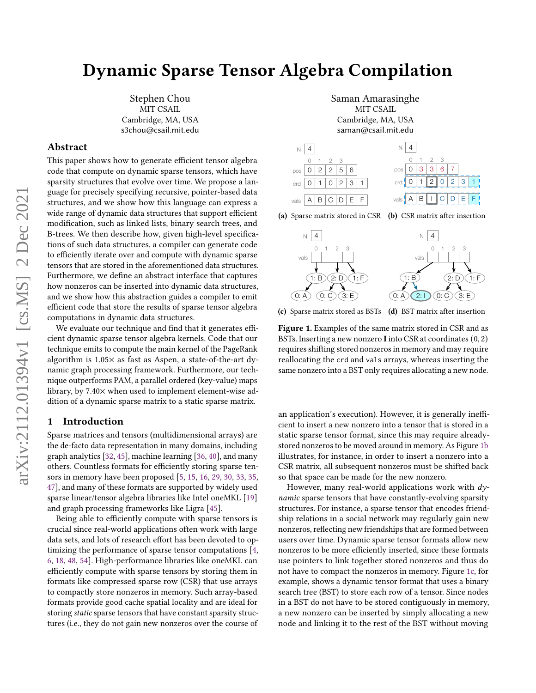# Dynamic Sparse Tensor Algebra Compilation

Stephen Chou MIT CSAIL Cambridge, MA, USA s3chou@csail.mit.edu

### Abstract

This paper shows how to generate efficient tensor algebra code that compute on dynamic sparse tensors, which have sparsity structures that evolve over time. We propose a language for precisely specifying recursive, pointer-based data structures, and we show how this language can express a wide range of dynamic data structures that support efficient modification, such as linked lists, binary search trees, and B-trees. We then describe how, given high-level specifications of such data structures, a compiler can generate code to efficiently iterate over and compute with dynamic sparse tensors that are stored in the aforementioned data structures. Furthermore, we define an abstract interface that captures how nonzeros can be inserted into dynamic data structures, and we show how this abstraction guides a compiler to emit efficient code that store the results of sparse tensor algebra computations in dynamic data structures.

We evaluate our technique and find that it generates efficient dynamic sparse tensor algebra kernels. Code that our technique emits to compute the main kernel of the PageRank algorithm is 1.05× as fast as Aspen, a state-of-the-art dynamic graph processing framework. Furthermore, our technique outperforms PAM, a parallel ordered (key-value) maps library, by 7.40× when used to implement element-wise addition of a dynamic sparse matrix to a static sparse matrix.

# <span id="page-0-1"></span>1 Introduction

Sparse matrices and tensors (multidimensional arrays) are the de-facto data representation in many domains, including graph analytics [\[32,](#page-13-0) [45\]](#page-14-0), machine learning [\[36,](#page-13-1) [40\]](#page-14-1), and many others. Countless formats for efficiently storing sparse tensors in memory have been proposed [\[5,](#page-12-0) [15,](#page-13-2) [16,](#page-13-3) [29,](#page-13-4) [30,](#page-13-5) [33,](#page-13-6) [35,](#page-13-7) [47\]](#page-14-2), and many of these formats are supported by widely used sparse linear/tensor algebra libraries like Intel oneMKL [\[19\]](#page-13-8) and graph processing frameworks like Ligra [\[45\]](#page-14-0).

Being able to efficiently compute with sparse tensors is crucial since real-world applications often work with large data sets, and lots of research effort has been devoted to optimizing the performance of sparse tensor computations [\[4,](#page-12-1) [6,](#page-12-2) [18,](#page-13-9) [48,](#page-14-3) [54\]](#page-14-4). High-performance libraries like oneMKL can efficiently compute with sparse tensors by storing them in formats like compressed sparse row (CSR) that use arrays to compactly store nonzeros in memory. Such array-based formats provide good cache spatial locality and are ideal for storing static sparse tensors that have constant sparsity structures (i.e., they do not gain new nonzeros over the course of

Saman Amarasinghe MIT CSAIL Cambridge, MA, USA saman@csail.mit.edu

<span id="page-0-0"></span>





(c) Sparse matrix stored as BSTs (d) BST matrix after insertion

Figure 1. Examples of the same matrix stored in CSR and as BSTs. Inserting a new nonzero I into CSR at coordinates (0, 2) requires shifting stored nonzeros in memory and may require reallocating the crd and vals arrays, whereas inserting the same nonzero into a BST only requires allocating a new node.

an application's execution). However, it is generally inefficient to insert a new nonzero into a tensor that is stored in a static sparse tensor format, since this may require alreadystored nonzeros to be moved around in memory. As Figure [1b](#page-0-0) illustrates, for instance, in order to insert a nonzero into a CSR matrix, all subsequent nonzeros must be shifted back so that space can be made for the new nonzero.

However, many real-world applications work with  $dy$ namic sparse tensors that have constantly-evolving sparsity structures. For instance, a sparse tensor that encodes friendship relations in a social network may regularly gain new nonzeros, reflecting new friendships that are formed between users over time. Dynamic sparse tensor formats allow new nonzeros to be more efficiently inserted, since these formats use pointers to link together stored nonzeros and thus do not have to compact the nonzeros in memory. Figure [1c,](#page-0-0) for example, shows a dynamic tensor format that uses a binary search tree (BST) to store each row of a tensor. Since nodes in a BST do not have to be stored contiguously in memory, a new nonzero can be inserted by simply allocating a new node and linking it to the rest of the BST without moving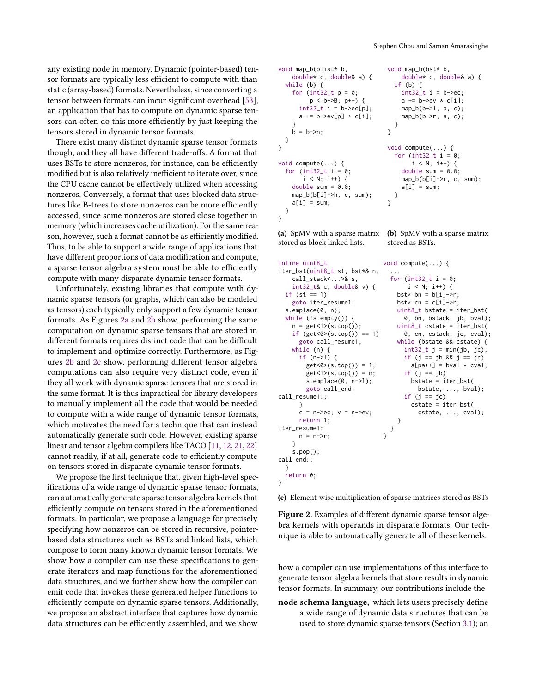any existing node in memory. Dynamic (pointer-based) tensor formats are typically less efficient to compute with than static (array-based) formats. Nevertheless, since converting a tensor between formats can incur significant overhead [\[53\]](#page-14-5), an application that has to compute on dynamic sparse tensors can often do this more efficiently by just keeping the tensors stored in dynamic tensor formats.

There exist many distinct dynamic sparse tensor formats though, and they all have different trade-offs. A format that uses BSTs to store nonzeros, for instance, can be efficiently modified but is also relatively inefficient to iterate over, since the CPU cache cannot be effectively utilized when accessing nonzeros. Conversely, a format that uses blocked data structures like B-trees to store nonzeros can be more efficiently accessed, since some nonzeros are stored close together in memory (which increases cache utilization). For the same reason, however, such a format cannot be as efficiently modified. Thus, to be able to support a wide range of applications that have different proportions of data modification and compute, a sparse tensor algebra system must be able to efficiently compute with many disparate dynamic tensor formats.

Unfortunately, existing libraries that compute with dynamic sparse tensors (or graphs, which can also be modeled as tensors) each typically only support a few dynamic tensor formats. As Figures [2a](#page-1-0) and [2b](#page-1-0) show, performing the same computation on dynamic sparse tensors that are stored in different formats requires distinct code that can be difficult to implement and optimize correctly. Furthermore, as Figures [2b](#page-1-0) and [2c](#page-1-0) show, performing different tensor algebra computations can also require very distinct code, even if they all work with dynamic sparse tensors that are stored in the same format. It is thus impractical for library developers to manually implement all the code that would be needed to compute with a wide range of dynamic tensor formats, which motivates the need for a technique that can instead automatically generate such code. However, existing sparse linear and tensor algebra compilers like TACO [\[11,](#page-13-10) [12,](#page-13-11) [21,](#page-13-12) [22\]](#page-13-13) cannot readily, if at all, generate code to efficiently compute on tensors stored in disparate dynamic tensor formats.

We propose the first technique that, given high-level specifications of a wide range of dynamic sparse tensor formats, can automatically generate sparse tensor algebra kernels that efficiently compute on tensors stored in the aforementioned formats. In particular, we propose a language for precisely specifying how nonzeros can be stored in recursive, pointerbased data structures such as BSTs and linked lists, which compose to form many known dynamic tensor formats. We show how a compiler can use these specifications to generate iterators and map functions for the aforementioned data structures, and we further show how the compiler can emit code that invokes these generated helper functions to efficiently compute on dynamic sparse tensors. Additionally, we propose an abstract interface that captures how dynamic data structures can be efficiently assembled, and we show

```
void map_b(blist* b,
    double* c, double& a) {
  while (b) {
    for (int32_t p = 0;
          p < b->B; p++) {
       int32_t i = b->ec[p];
      a += b \rightarrow ev[p] * c[i];}
    b = b \rightarrow n;
  }
}
void compute(...) {
  for (int32_t i = 0;
       i \le N; i++) {
    double sum = 0.0;
    map_b(b[i]-h, c, sum);a[i] = sum;}
}
                                   void map_b(bst* b,
                                       double* c, double& a) {
                                     if (b) {
                                       int32 t i = b->ec:
                                       a \equiv b \rightarrow e \vee \times c[i];map_b(b-1, a, c);
                                       map_b(b->r, a, c);
                                     }
                                   }
                                   void compute(...) {
                                     for (int32_t i = 0;
                                           i \le N; i++) {
                                       double sum = 0.0;
                                       map_b(b[i]->r, c, sum);
                                       a[i] = sum:
                                     }
                                   }
```
stored as BSTs.

(a) SpMV with a sparse matrix  $\;\;$  (b) SpMV with a sparse matrix stored as block linked lists.

```
inline uint8_t
iter_bst(uint8_t st, bst*& n,
    call_stack<...>& s,
    int32_t& c, double& v) {
  if (st == 1)goto iter_resume1;
  s.emplace(0, n);
  while (!s.empty()) {
   n = get <1>(s.top());
    if (get<0>(s.top()) == 1)
      goto call_resume1;
    while (n) {
     if (n->1) {
        get <0 > (s.top()) = 1;get<1>(s.top()) = n;
        s.emplace(0, n->l);
        goto call_end;
call_resume1:;
     }
      c = n->ec; v = n->ev;return 1;
iter_resume1:
     n = n \rightarrow r:
    }
    s.pop();
call_end:;
 }
  return 0;
}
                               void compute(...) {
                                 ...
                                 for (int32_t i = 0;
                                      i \le N; i^{++}) {
                                   bst* bn = b[i]-r;bst* cn = c[i]-r;uint8 t bstate = iter bst(
                                     0, bn, bstack, jb, bval);
                                   uint8_t cstate = iter_bst(
                                     0, cn, cstack, jc, cval);
                                   while (bstate && cstate) {
                                     int32_t j = min(jb, jc);if (j == jb && j == jc)
                                       a[pa++] = bval * cval;if (j == jb)bstate = iter_bst(
                                         bstate, ..., bval);
                                     if (j == jc)cstate = iter_bst(
                                         cstate, ..., cval);
                                   }
                                 }
                               }
```
(c) Element-wise multiplication of sparse matrices stored as BSTs

Figure 2. Examples of different dynamic sparse tensor algebra kernels with operands in disparate formats. Our technique is able to automatically generate all of these kernels.

how a compiler can use implementations of this interface to generate tensor algebra kernels that store results in dynamic tensor formats. In summary, our contributions include the

node schema language, which lets users precisely define a wide range of dynamic data structures that can be used to store dynamic sparse tensors (Section [3.1\)](#page-3-0); an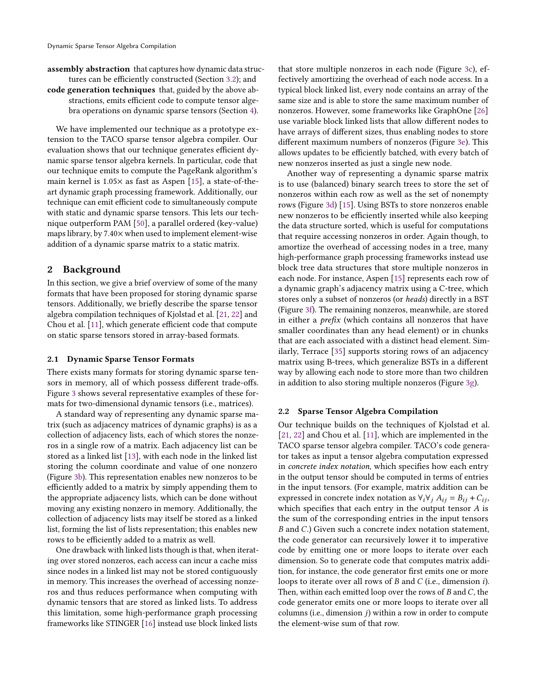assembly abstraction that captures how dynamic data structures can be efficiently constructed (Section [3.2\)](#page-5-0); and code generation techniques that, guided by the above abstractions, emits efficient code to compute tensor alge-

bra operations on dynamic sparse tensors (Section [4\)](#page-6-0). We have implemented our technique as a prototype extension to the TACO sparse tensor algebra compiler. Our evaluation shows that our technique generates efficient dynamic sparse tensor algebra kernels. In particular, code that our technique emits to compute the PageRank algorithm's main kernel is 1.05× as fast as Aspen [\[15\]](#page-13-2), a state-of-theart dynamic graph processing framework. Additionally, our technique can emit efficient code to simultaneously compute with static and dynamic sparse tensors. This lets our technique outperform PAM [\[50\]](#page-14-6), a parallel ordered (key-value) maps library, by 7.40× when used to implement element-wise

# addition of a dynamic sparse matrix to a static matrix.

# 2 Background

In this section, we give a brief overview of some of the many formats that have been proposed for storing dynamic sparse tensors. Additionally, we briefly describe the sparse tensor algebra compilation techniques of Kjolstad et al. [\[21,](#page-13-12) [22\]](#page-13-13) and Chou et al. [\[11\]](#page-13-10), which generate efficient code that compute on static sparse tensors stored in array-based formats.

#### <span id="page-2-1"></span>2.1 Dynamic Sparse Tensor Formats

There exists many formats for storing dynamic sparse tensors in memory, all of which possess different trade-offs. Figure [3](#page-3-1) shows several representative examples of these formats for two-dimensional dynamic tensors (i.e., matrices).

A standard way of representing any dynamic sparse matrix (such as adjacency matrices of dynamic graphs) is as a collection of adjacency lists, each of which stores the nonzeros in a single row of a matrix. Each adjacency list can be stored as a linked list [\[13\]](#page-13-14), with each node in the linked list storing the column coordinate and value of one nonzero (Figure [3b\)](#page-3-1). This representation enables new nonzeros to be efficiently added to a matrix by simply appending them to the appropriate adjacency lists, which can be done without moving any existing nonzero in memory. Additionally, the collection of adjacency lists may itself be stored as a linked list, forming the list of lists representation; this enables new rows to be efficiently added to a matrix as well.

One drawback with linked lists though is that, when iterating over stored nonzeros, each access can incur a cache miss since nodes in a linked list may not be stored contiguously in memory. This increases the overhead of accessing nonzeros and thus reduces performance when computing with dynamic tensors that are stored as linked lists. To address this limitation, some high-performance graph processing frameworks like STINGER [\[16\]](#page-13-3) instead use block linked lists

that store multiple nonzeros in each node (Figure [3c\)](#page-3-1), effectively amortizing the overhead of each node access. In a typical block linked list, every node contains an array of the same size and is able to store the same maximum number of nonzeros. However, some frameworks like GraphOne [\[26\]](#page-13-15) use variable block linked lists that allow different nodes to have arrays of different sizes, thus enabling nodes to store different maximum numbers of nonzeros (Figure [3e\)](#page-3-1). This allows updates to be efficiently batched, with every batch of new nonzeros inserted as just a single new node.

Another way of representing a dynamic sparse matrix is to use (balanced) binary search trees to store the set of nonzeros within each row as well as the set of nonempty rows (Figure [3d\)](#page-3-1) [\[15\]](#page-13-2). Using BSTs to store nonzeros enable new nonzeros to be efficiently inserted while also keeping the data structure sorted, which is useful for computations that require accessing nonzeros in order. Again though, to amortize the overhead of accessing nodes in a tree, many high-performance graph processing frameworks instead use block tree data structures that store multiple nonzeros in each node. For instance, Aspen [\[15\]](#page-13-2) represents each row of a dynamic graph's adjacency matrix using a C-tree, which stores only a subset of nonzeros (or heads) directly in a BST (Figure [3f\)](#page-3-1). The remaining nonzeros, meanwhile, are stored in either a prefix (which contains all nonzeros that have smaller coordinates than any head element) or in chunks that are each associated with a distinct head element. Similarly, Terrace [\[35\]](#page-13-7) supports storing rows of an adjacency matrix using B-trees, which generalize BSTs in a different way by allowing each node to store more than two children in addition to also storing multiple nonzeros (Figure [3g\)](#page-3-1).

#### <span id="page-2-0"></span>2.2 Sparse Tensor Algebra Compilation

Our technique builds on the techniques of Kjolstad et al. [\[21,](#page-13-12) [22\]](#page-13-13) and Chou et al. [\[11\]](#page-13-10), which are implemented in the TACO sparse tensor algebra compiler. TACO's code generator takes as input a tensor algebra computation expressed in concrete index notation, which specifies how each entry in the output tensor should be computed in terms of entries in the input tensors. (For example, matrix addition can be expressed in concrete index notation as  $\forall_i \forall j$   $A_{ij} = B_{ij} + C_{ij}$ , which specifies that each entry in the output tensor  $A$  is the sum of the corresponding entries in the input tensors  $B$  and  $C$ .) Given such a concrete index notation statement, the code generator can recursively lower it to imperative code by emitting one or more loops to iterate over each dimension. So to generate code that computes matrix addition, for instance, the code generator first emits one or more loops to iterate over all rows of  $B$  and  $C$  (i.e., dimension *i*). Then, within each emitted loop over the rows of  $B$  and  $C$ , the code generator emits one or more loops to iterate over all columns (i.e., dimension  $j$ ) within a row in order to compute the element-wise sum of that row.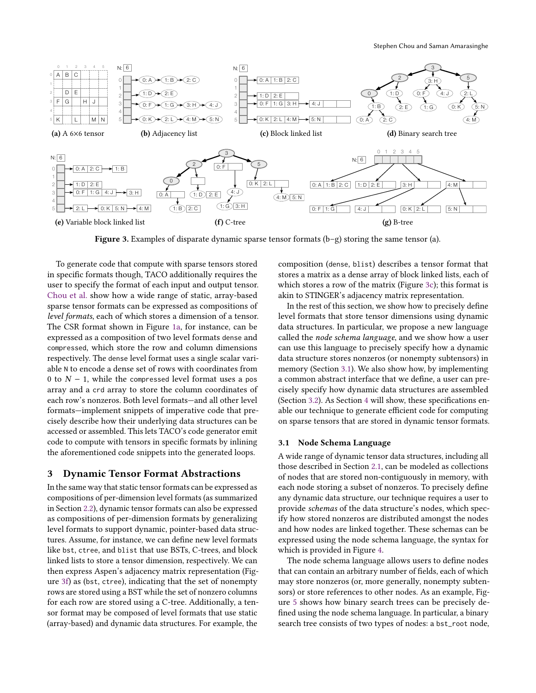<span id="page-3-1"></span>

Figure 3. Examples of disparate dynamic sparse tensor formats (b–g) storing the same tensor (a).

To generate code that compute with sparse tensors stored in specific formats though, TACO additionally requires the user to specify the format of each input and output tensor. [Chou et al.](#page-13-10) show how a wide range of static, array-based sparse tensor formats can be expressed as compositions of level formats, each of which stores a dimension of a tensor. The CSR format shown in Figure [1a,](#page-0-0) for instance, can be expressed as a composition of two level formats dense and compressed, which store the row and column dimensions respectively. The dense level format uses a single scalar variable N to encode a dense set of rows with coordinates from 0 to  $N - 1$ , while the compressed level format uses a pos array and a crd array to store the column coordinates of each row's nonzeros. Both level formats—and all other level formats—implement snippets of imperative code that precisely describe how their underlying data structures can be accessed or assembled. This lets TACO's code generator emit code to compute with tensors in specific formats by inlining the aforementioned code snippets into the generated loops.

## <span id="page-3-2"></span>3 Dynamic Tensor Format Abstractions

In the same way that static tensor formats can be expressed as compositions of per-dimension level formats (as summarized in Section [2.2\)](#page-2-0), dynamic tensor formats can also be expressed as compositions of per-dimension formats by generalizing level formats to support dynamic, pointer-based data structures. Assume, for instance, we can define new level formats like bst, ctree, and blist that use BSTs, C-trees, and block linked lists to store a tensor dimension, respectively. We can then express Aspen's adjacency matrix representation (Figure [3f\)](#page-3-1) as (bst, ctree), indicating that the set of nonempty rows are stored using a BST while the set of nonzero columns for each row are stored using a C-tree. Additionally, a tensor format may be composed of level formats that use static (array-based) and dynamic data structures. For example, the

composition (dense, blist) describes a tensor format that stores a matrix as a dense array of block linked lists, each of which stores a row of the matrix (Figure [3c\)](#page-3-1); this format is akin to STINGER's adjacency matrix representation.

In the rest of this section, we show how to precisely define level formats that store tensor dimensions using dynamic data structures. In particular, we propose a new language called the node schema language, and we show how a user can use this language to precisely specify how a dynamic data structure stores nonzeros (or nonempty subtensors) in memory (Section [3.1\)](#page-3-0). We also show how, by implementing a common abstract interface that we define, a user can precisely specify how dynamic data structures are assembled (Section [3.2\)](#page-5-0). As Section [4](#page-6-0) will show, these specifications enable our technique to generate efficient code for computing on sparse tensors that are stored in dynamic tensor formats.

### <span id="page-3-0"></span>3.1 Node Schema Language

A wide range of dynamic tensor data structures, including all those described in Section [2.1,](#page-2-1) can be modeled as collections of nodes that are stored non-contiguously in memory, with each node storing a subset of nonzeros. To precisely define any dynamic data structure, our technique requires a user to provide schemas of the data structure's nodes, which specify how stored nonzeros are distributed amongst the nodes and how nodes are linked together. These schemas can be expressed using the node schema language, the syntax for which is provided in Figure [4.](#page-4-0)

The node schema language allows users to define nodes that can contain an arbitrary number of fields, each of which may store nonzeros (or, more generally, nonempty subtensors) or store references to other nodes. As an example, Figure [5](#page-4-1) shows how binary search trees can be precisely defined using the node schema language. In particular, a binary search tree consists of two types of nodes: a bst\_root node,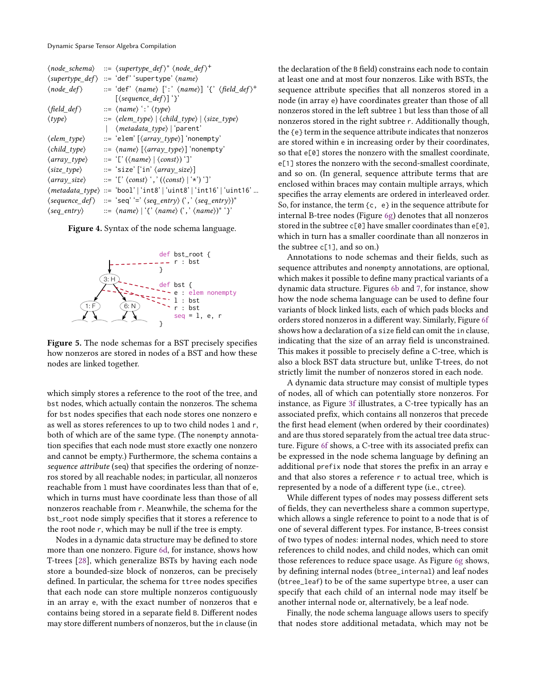<span id="page-4-0"></span>

| $\langle node\_schema \rangle$  | $ ::= \langle supertype\_def \rangle^* \langle node\_def \rangle^+$                                              |
|---------------------------------|------------------------------------------------------------------------------------------------------------------|
|                                 | $\langle supertype\_def \rangle ::= 'def' 'supertype' \langle name \rangle$                                      |
| $\langle node_d \rangle$        | ::= 'def' $\langle name \rangle$ [':' $\langle name \rangle$ ] '{' $\langle field\_def \rangle^+$                |
|                                 | $[\langle sequence\_def \rangle]$ '}'                                                                            |
| $\langle$ field_def $\rangle$   | $ ::= \langle name \rangle ' : \langle type \rangle$                                                             |
| $\langle \textit{type} \rangle$ | $\Rightarrow$ $\langle$ elem_type $\rangle$ $ $ $\langle$ child_type $\rangle$ $ $ $\langle$ size_type $\rangle$ |
|                                 | ( <i>metadata_type</i> )   'parent'                                                                              |
| $\langle$ elem_type $\rangle$   | ::= 'elem' [\array_type\] 'nonempty'                                                                             |
| $\langle child_type\rangle$     | $ ::= \langle name \rangle [\langle array_type \rangle]$ 'nonempty'                                              |
| $\langle array\_type \rangle$   | $ ::= '[\text{'}(\langle name \rangle   \langle const \rangle)']'$                                               |
| $\langle size\_type \rangle$    | ::= 'size' ['in' <i>\array_size</i> )]                                                                           |
| $\langle array\_size \rangle$   | $ ::= '[' \langle const \rangle ', ' \langle const \rangle   '*)' ]'$                                            |
|                                 | (metadata_type) ::= 'bool'   'int8'   'uint8'   'int16'   'uint16'                                               |
| $\langle sequence\_def \rangle$ | ::= 'seq' '=' $\langle seq\_entry \rangle$ (',' $\langle seq\_entry \rangle$ )*                                  |
| $\langle seq\_entry \rangle$    | ::= $\langle name \rangle   \langle \langle name \rangle ( \langle \langle name \rangle \rangle)^* \rangle$      |
|                                 |                                                                                                                  |

Figure 4. Syntax of the node schema language.

<span id="page-4-1"></span>

Figure 5. The node schemas for a BST precisely specifies how nonzeros are stored in nodes of a BST and how these nodes are linked together.

which simply stores a reference to the root of the tree, and bst nodes, which actually contain the nonzeros. The schema for bst nodes specifies that each node stores one nonzero e as well as stores references to up to two child nodes l and r, both of which are of the same type. (The nonempty annotation specifies that each node must store exactly one nonzero and cannot be empty.) Furthermore, the schema contains a sequence attribute (seq) that specifies the ordering of nonzeros stored by all reachable nodes; in particular, all nonzeros reachable from l must have coordinates less than that of e, which in turns must have coordinate less than those of all nonzeros reachable from r. Meanwhile, the schema for the bst\_root node simply specifies that it stores a reference to the root node r, which may be null if the tree is empty.

Nodes in a dynamic data structure may be defined to store more than one nonzero. Figure [6d,](#page-5-1) for instance, shows how T-trees [\[28\]](#page-13-16), which generalize BSTs by having each node store a bounded-size block of nonzeros, can be precisely defined. In particular, the schema for ttree nodes specifies that each node can store multiple nonzeros contiguously in an array e, with the exact number of nonzeros that e contains being stored in a separate field B. Different nodes may store different numbers of nonzeros, but the in clause (in the declaration of the B field) constrains each node to contain at least one and at most four nonzeros. Like with BSTs, the sequence attribute specifies that all nonzeros stored in a node (in array e) have coordinates greater than those of all nonzeros stored in the left subtree l but less than those of all nonzeros stored in the right subtree r. Additionally though, the {e} term in the sequence attribute indicates that nonzeros are stored within e in increasing order by their coordinates, so that e<sup>[0]</sup> stores the nonzero with the smallest coordinate, e[1] stores the nonzero with the second-smallest coordinate, and so on. (In general, sequence attribute terms that are enclosed within braces may contain multiple arrays, which specifies the array elements are ordered in interleaved order. So, for instance, the term  $\{c, e\}$  in the sequence attribute for internal B-tree nodes (Figure [6g\)](#page-5-1) denotes that all nonzeros stored in the subtree  $c[0]$  have smaller coordinates than e[0], which in turn has a smaller coordinate than all nonzeros in the subtree c[1], and so on.)

Annotations to node schemas and their fields, such as sequence attributes and nonempty annotations, are optional, which makes it possible to define many practical variants of a dynamic data structure. Figures [6b](#page-5-1) and [7,](#page-5-2) for instance, show how the node schema language can be used to define four variants of block linked lists, each of which pads blocks and orders stored nonzeros in a different way. Similarly, Figure [6f](#page-5-1) shows how a declaration of a size field can omit the in clause, indicating that the size of an array field is unconstrained. This makes it possible to precisely define a C-tree, which is also a block BST data structure but, unlike T-trees, do not strictly limit the number of nonzeros stored in each node.

A dynamic data structure may consist of multiple types of nodes, all of which can potentially store nonzeros. For instance, as Figure [3f](#page-3-1) illustrates, a C-tree typically has an associated prefix, which contains all nonzeros that precede the first head element (when ordered by their coordinates) and are thus stored separately from the actual tree data structure. Figure [6f](#page-5-1) shows, a C-tree with its associated prefix can be expressed in the node schema language by defining an additional prefix node that stores the prefix in an array e and that also stores a reference r to actual tree, which is represented by a node of a different type (i.e., ctree).

While different types of nodes may possess different sets of fields, they can nevertheless share a common supertype, which allows a single reference to point to a node that is of one of several different types. For instance, B-trees consist of two types of nodes: internal nodes, which need to store references to child nodes, and child nodes, which can omit those references to reduce space usage. As Figure [6g](#page-5-1) shows, by defining internal nodes (btree\_internal) and leaf nodes (btree\_leaf) to be of the same supertype btree, a user can specify that each child of an internal node may itself be another internal node or, alternatively, be a leaf node.

Finally, the node schema language allows users to specify that nodes store additional metadata, which may not be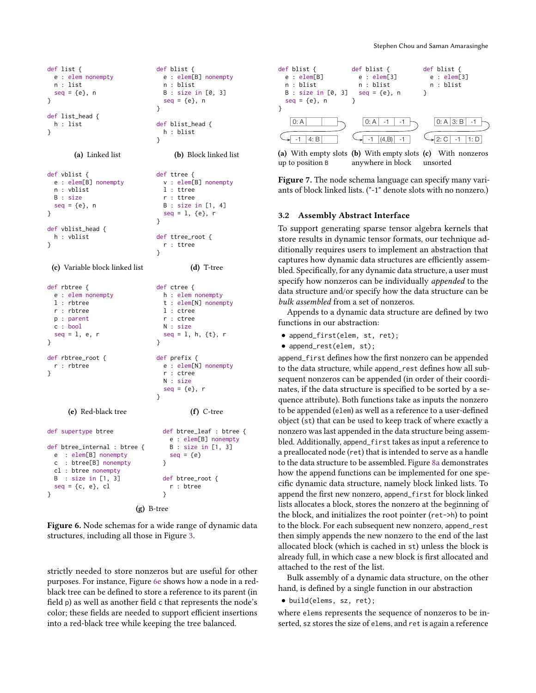```
def list {
  e : elem nonempty
  n : list
  seq = \{e\}, n}
def list_head {
  h : list
}
        (a) Linked list
                                 def blist {
                                   e : elem[B] nonempty
                                   n : blist
                                   B : size in [0, 3]
                                   seq = \{e\}, n}
                                 def blist_head {
                                   h : blist
                                 }
                                      (b) Block linked list
def vblist {
  e : elem[B] nonempty
  n : vblist
  B : size
  seq = \{e\}, n}
def vblist_head {
  h : vblist
}
 (c) Variable block linked list
                                 def ttree {
                                   v : elem[B] nonempty
                                   l : ttree
                                   r : ttree
                                   B : size in [1, 4]
                                   seq = 1, {e}, r}
                                 def ttree_root {
                                   r : ttree
                                 }
                                           (d) T-tree
def rbtree {
  e : elem nonempty
  l : rbtree
  r : rbtree
  p : parent
  c : bool
  seq = 1, e, r}
def rbtree_root {
  r : rbtree
}
      (e) Red-black tree
                                 def ctree {
                                   h : elem nonempty
                                   t : elem[N] nonempty
                                   l : ctree
                                   r : ctree
                                   N : size
                                   seq = l, h, {t}, r
                                 }
                                 def prefix {
                                   e : elem[N] nonempty
                                   r : ctree
                                   N : size
                                   seq = \{e\}, r}
                                           (f) C-tree
def supertype btree
def btree_internal : btree {
  e : elem[B] nonempty
  c : btree[B] nonempty
  cl : btree nonempty
  B : size in [1, 3]
  seq = \{c, e\}, cl}
                                   def btree_leaf : btree {
                                     e : elem[B] nonempty
                                     B : size in [1, 3]
                                     seq = \{e\}}
                                   def btree_root {
                                     r : btree
                                   }
                          (g) B-tree
```
Figure 6. Node schemas for a wide range of dynamic data structures, including all those in Figure [3.](#page-3-1)

strictly needed to store nonzeros but are useful for other purposes. For instance, Figure [6e](#page-5-1) shows how a node in a redblack tree can be defined to store a reference to its parent (in field p) as well as another field c that represents the node's color; these fields are needed to support efficient insertions into a red-black tree while keeping the tree balanced.

<span id="page-5-2"></span>

(a) With empty slots (b) With empty slots (c) With nonzeros up to position B anywhere in block unsorted

Figure 7. The node schema language can specify many variants of block linked lists. ("-1" denote slots with no nonzero.)

#### <span id="page-5-0"></span>3.2 Assembly Abstract Interface

To support generating sparse tensor algebra kernels that store results in dynamic tensor formats, our technique additionally requires users to implement an abstraction that captures how dynamic data structures are efficiently assembled. Specifically, for any dynamic data structure, a user must specify how nonzeros can be individually appended to the data structure and/or specify how the data structure can be bulk assembled from a set of nonzeros.

Appends to a dynamic data structure are defined by two functions in our abstraction:

- append\_first(elem, st, ret);
- append\_rest(elem, st);

append\_first defines how the first nonzero can be appended to the data structure, while append\_rest defines how all subsequent nonzeros can be appended (in order of their coordinates, if the data structure is specified to be sorted by a sequence attribute). Both functions take as inputs the nonzero to be appended (elem) as well as a reference to a user-defined object (st) that can be used to keep track of where exactly a nonzero was last appended in the data structure being assembled. Additionally, append\_first takes as input a reference to a preallocated node (ret) that is intended to serve as a handle to the data structure to be assembled. Figure [8a](#page-6-1) demonstrates how the append functions can be implemented for one specific dynamic data structure, namely block linked lists. To append the first new nonzero, append\_first for block linked lists allocates a block, stores the nonzero at the beginning of the block, and initializes the root pointer (ret->h) to point to the block. For each subsequent new nonzero, append\_rest then simply appends the new nonzero to the end of the last allocated block (which is cached in st) unless the block is already full, in which case a new block is first allocated and attached to the rest of the list.

Bulk assembly of a dynamic data structure, on the other hand, is defined by a single function in our abstraction

• build(elems, sz, ret);

where elems represents the sequence of nonzeros to be inserted, sz stores the size of elems, and ret is again a reference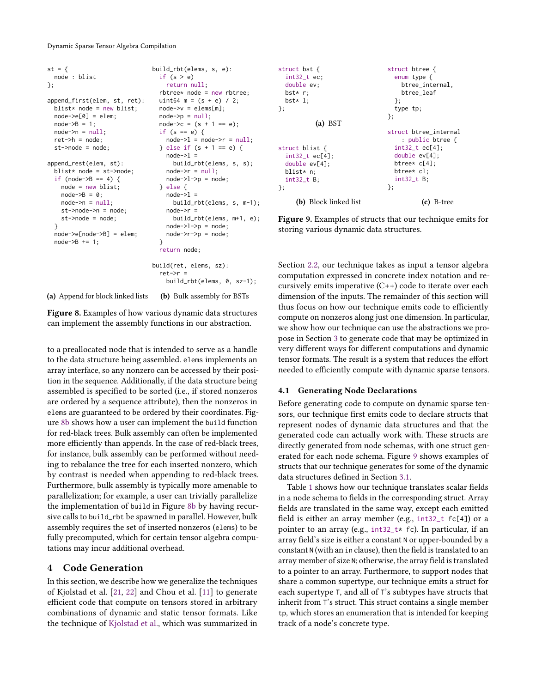Dynamic Sparse Tensor Algebra Compilation

```
st = \{node : blist
};
append_first(elem, st, ret):
  blist* node = new blist;
  node->e[0] = elem;
  node->B = 1;node \rightarrow n = null;
  ret->h = node;st->node = node;
append_rest(elem, st):
  blist* node = st->node;
  if (node->B == 4) {
    node = new blist;
    node->B = 0:
    node \rightarrow n = null;st->node->n = node;
    st->node = node;
  }
  node->e[node->B] = elem;
  node->B += 1;(a) Append for block linked lists
                                build_rbt(elems, s, e):
                                 if (s > e)return null;
                                  rbtree* node = new rbtree;
                                  uint64 m = (s + e) / 2;
                                  node->v = elems[m];node \rightarrow p = null;node->c = (s + 1 == e);if (s == e) {
                                    node->l = node->r = null;} else if (s + 1 == e) {
                                    node->l =build_rbt(elems, s, s);
                                    node \rightarrow r = null;
                                    node->l->p = node;} else {
                                    node->l =build_rbt(elems, s, m-1);
                                    node->r =
                                      build_rbt(elems, m+1, e);
                                    node->l->p = node;node->r->p = node;
                                  }
                                  return node;
                                build(ret, elems, sz):
                                  ret->r =build_rbt(elems, 0, sz-1);
                                  (b) Bulk assembly for BSTs
```
Figure 8. Examples of how various dynamic data structures can implement the assembly functions in our abstraction.

to a preallocated node that is intended to serve as a handle to the data structure being assembled. elems implements an array interface, so any nonzero can be accessed by their position in the sequence. Additionally, if the data structure being assembled is specified to be sorted (i.e., if stored nonzeros are ordered by a sequence attribute), then the nonzeros in elems are guaranteed to be ordered by their coordinates. Figure [8b](#page-6-1) shows how a user can implement the build function for red-black trees. Bulk assembly can often be implemented more efficiently than appends. In the case of red-black trees, for instance, bulk assembly can be performed without needing to rebalance the tree for each inserted nonzero, which by contrast is needed when appending to red-black trees. Furthermore, bulk assembly is typically more amenable to parallelization; for example, a user can trivially parallelize the implementation of build in Figure [8b](#page-6-1) by having recursive calls to build\_rbt be spawned in parallel. However, bulk assembly requires the set of inserted nonzeros (elems) to be fully precomputed, which for certain tensor algebra computations may incur additional overhead.

# <span id="page-6-0"></span>4 Code Generation

In this section, we describe how we generalize the techniques of Kjolstad et al. [\[21,](#page-13-12) [22\]](#page-13-13) and Chou et al. [\[11\]](#page-13-10) to generate efficient code that compute on tensors stored in arbitrary combinations of dynamic and static tensor formats. Like the technique of [Kjolstad et al.,](#page-13-12) which was summarized in

<span id="page-6-2"></span>

Figure 9. Examples of structs that our technique emits for storing various dynamic data structures.

Section [2.2,](#page-2-0) our technique takes as input a tensor algebra computation expressed in concrete index notation and recursively emits imperative  $(C_{++})$  code to iterate over each dimension of the inputs. The remainder of this section will thus focus on how our technique emits code to efficiently compute on nonzeros along just one dimension. In particular, we show how our technique can use the abstractions we propose in Section [3](#page-3-2) to generate code that may be optimized in very different ways for different computations and dynamic tensor formats. The result is a system that reduces the effort needed to efficiently compute with dynamic sparse tensors.

# 4.1 Generating Node Declarations

Before generating code to compute on dynamic sparse tensors, our technique first emits code to declare structs that represent nodes of dynamic data structures and that the generated code can actually work with. These structs are directly generated from node schemas, with one struct generated for each node schema. Figure [9](#page-6-2) shows examples of structs that our technique generates for some of the dynamic data structures defined in Section [3.1.](#page-3-0)

Table [1](#page-7-0) shows how our technique translates scalar fields in a node schema to fields in the corresponding struct. Array fields are translated in the same way, except each emitted field is either an array member (e.g., int32\_t fc[4]) or a pointer to an array (e.g., int32\_t\* fc). In particular, if an array field's size is either a constant N or upper-bounded by a constant N (with an in clause), then the field is translated to an array member of size N; otherwise, the array field is translated to a pointer to an array. Furthermore, to support nodes that share a common supertype, our technique emits a struct for each supertype T, and all of T's subtypes have structs that inherit from T's struct. This struct contains a single member tp, which stores an enumeration that is intended for keeping track of a node's concrete type.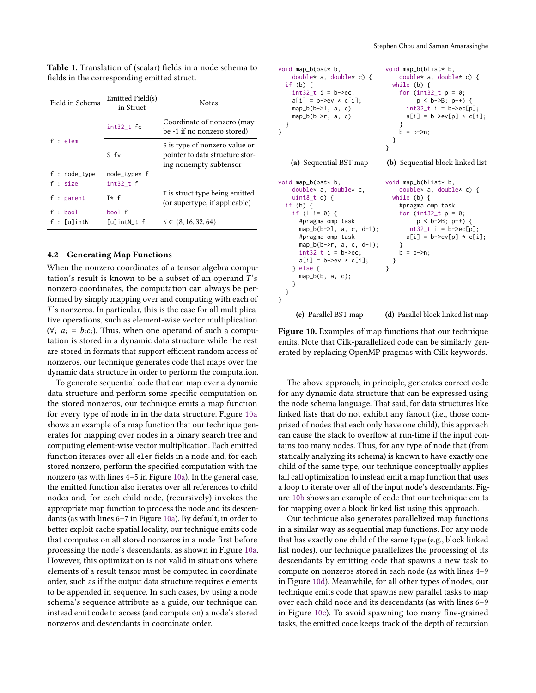| Field in Schema | Emitted Field(s)<br>in Struct | <b>Notes</b>                                                                               |  |
|-----------------|-------------------------------|--------------------------------------------------------------------------------------------|--|
| f : elem        | $int32_t$ fc                  | Coordinate of nonzero (may<br>be -1 if no nonzero stored)                                  |  |
|                 | S fv                          | S is type of nonzero value or<br>pointer to data structure stor-<br>ing nonempty subtensor |  |
| f : node_type   | node_type* f                  |                                                                                            |  |
| f : size        | $int32_t$ f                   |                                                                                            |  |
| f : parent      | $T* f$                        | T is struct type being emitted<br>(or supertype, if applicable)                            |  |
| f : bool        | bool f                        |                                                                                            |  |
| $f : [u]$ intN  | [u]intN_t f                   | $N \in \{8, 16, 32, 64\}$                                                                  |  |

<span id="page-7-0"></span>Table 1. Translation of (scalar) fields in a node schema to fields in the corresponding emitted struct.

#### <span id="page-7-2"></span>4.2 Generating Map Functions

When the nonzero coordinates of a tensor algebra computation's result is known to be a subset of an operand  $T$ 's nonzero coordinates, the computation can always be performed by simply mapping over and computing with each of 's nonzeros. In particular, this is the case for all multiplicative operations, such as element-wise vector multiplication  $(\forall_i \, a_i = b_i c_i)$ . Thus, when one operand of such a computation is stored in a dynamic data structure while the rest are stored in formats that support efficient random access of nonzeros, our technique generates code that maps over the dynamic data structure in order to perform the computation.

To generate sequential code that can map over a dynamic data structure and perform some specific computation on the stored nonzeros, our technique emits a map function for every type of node in in the data structure. Figure [10a](#page-7-1) shows an example of a map function that our technique generates for mapping over nodes in a binary search tree and computing element-wise vector multiplication. Each emitted function iterates over all elem fields in a node and, for each stored nonzero, perform the specified computation with the nonzero (as with lines 4–5 in Figure [10a\)](#page-7-1). In the general case, the emitted function also iterates over all references to child nodes and, for each child node, (recursively) invokes the appropriate map function to process the node and its descendants (as with lines 6–7 in Figure [10a\)](#page-7-1). By default, in order to better exploit cache spatial locality, our technique emits code that computes on all stored nonzeros in a node first before processing the node's descendants, as shown in Figure [10a.](#page-7-1) However, this optimization is not valid in situations where elements of a result tensor must be computed in coordinate order, such as if the output data structure requires elements to be appended in sequence. In such cases, by using a node schema's sequence attribute as a guide, our technique can instead emit code to access (and compute on) a node's stored nonzeros and descendants in coordinate order.

```
void map_b(bst* b,
    double* a, double* c) {
  if (b) {
    int32_t i = b->ec;
    a[i] = b \rightarrow ev * c[i];map_b(b-1, a, c);map_b(b\rightarrow r, a, c);}
}
    (a) Sequential BST map
                                   void map_b(blist* b,
                                       double* a, double* c) {
                                     while (b) {
                                       for (int32_t p = 0;
                                             p < b->B; p++) {
                                          int32_t i = b->ec[p];
                                         a[i] = b \rightarrow ev[p] * c[i];}
                                       b = b \rightarrow n;
                                     }
                                   }
                                   (b) Sequential block linked list
void map_b(bst* b,
    double* a, double* c,
    uint8_t d) {
  if (b) {
    if (l != 0) {
      #pragma omp task
      map_b(b->l, a, c, d-1);
      #pragma omp task
      map_b(b->r, a, c, d-1);
      int32_t i = b->ec;
      a[i] = b \rightarrow eV \times c[i];} else {
      map_b(b, a, c);}
 }
}
     (c) Parallel BST map
                                   void map_b(blist* b,
                                       double* a, double* c) {
                                     while (b) {
                                       #pragma omp task
                                       for (int32_t p = 0;p < b->B; p++) {
                                          int32_t i = b->ec[p];
                                          a[i] = b \rightarrow e \vee [p] * c[i];}
                                       b = b \rightarrow n;
                                     }
                                   }
                                   (d) Parallel block linked list map
```
Figure 10. Examples of map functions that our technique emits. Note that Cilk-parallelized code can be similarly generated by replacing OpenMP pragmas with Cilk keywords.

The above approach, in principle, generates correct code for any dynamic data structure that can be expressed using the node schema language. That said, for data structures like linked lists that do not exhibit any fanout (i.e., those comprised of nodes that each only have one child), this approach can cause the stack to overflow at run-time if the input contains too many nodes. Thus, for any type of node that (from statically analyzing its schema) is known to have exactly one child of the same type, our technique conceptually applies tail call optimization to instead emit a map function that uses a loop to iterate over all of the input node's descendants. Figure [10b](#page-7-1) shows an example of code that our technique emits for mapping over a block linked list using this approach.

Our technique also generates parallelized map functions in a similar way as sequential map functions. For any node that has exactly one child of the same type (e.g., block linked list nodes), our technique parallelizes the processing of its descendants by emitting code that spawns a new task to compute on nonzeros stored in each node (as with lines 4–9 in Figure [10d\)](#page-7-1). Meanwhile, for all other types of nodes, our technique emits code that spawns new parallel tasks to map over each child node and its descendants (as with lines 6–9 in Figure [10c\)](#page-7-1). To avoid spawning too many fine-grained tasks, the emitted code keeps track of the depth of recursion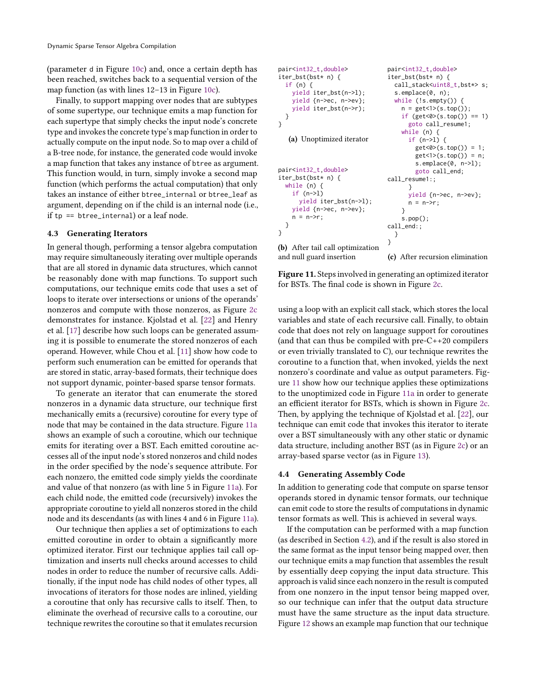(parameter d in Figure [10c\)](#page-7-1) and, once a certain depth has been reached, switches back to a sequential version of the map function (as with lines 12–13 in Figure [10c\)](#page-7-1).

Finally, to support mapping over nodes that are subtypes of some supertype, our technique emits a map function for each supertype that simply checks the input node's concrete type and invokes the concrete type's map function in order to actually compute on the input node. So to map over a child of a B-tree node, for instance, the generated code would invoke a map function that takes any instance of btree as argument. This function would, in turn, simply invoke a second map function (which performs the actual computation) that only takes an instance of either btree\_internal or btree\_leaf as argument, depending on if the child is an internal node (i.e., if  $tp ==$  btree\_internal) or a leaf node.

### 4.3 Generating Iterators

In general though, performing a tensor algebra computation may require simultaneously iterating over multiple operands that are all stored in dynamic data structures, which cannot be reasonably done with map functions. To support such computations, our technique emits code that uses a set of loops to iterate over intersections or unions of the operands' nonzeros and compute with those nonzeros, as Figure [2c](#page-1-0) demonstrates for instance. Kjolstad et al. [\[22\]](#page-13-13) and Henry et al. [\[17\]](#page-13-17) describe how such loops can be generated assuming it is possible to enumerate the stored nonzeros of each operand. However, while Chou et al. [\[11\]](#page-13-10) show how code to perform such enumeration can be emitted for operands that are stored in static, array-based formats, their technique does not support dynamic, pointer-based sparse tensor formats.

To generate an iterator that can enumerate the stored nonzeros in a dynamic data structure, our technique first mechanically emits a (recursive) coroutine for every type of node that may be contained in the data structure. Figure [11a](#page-8-0) shows an example of such a coroutine, which our technique emits for iterating over a BST. Each emitted coroutine accesses all of the input node's stored nonzeros and child nodes in the order specified by the node's sequence attribute. For each nonzero, the emitted code simply yields the coordinate and value of that nonzero (as with line 5 in Figure [11a\)](#page-8-0). For each child node, the emitted code (recursively) invokes the appropriate coroutine to yield all nonzeros stored in the child node and its descendants (as with lines 4 and 6 in Figure [11a\)](#page-8-0).

Our technique then applies a set of optimizations to each emitted coroutine in order to obtain a significantly more optimized iterator. First our technique applies tail call optimization and inserts null checks around accesses to child nodes in order to reduce the number of recursive calls. Additionally, if the input node has child nodes of other types, all invocations of iterators for those nodes are inlined, yielding a coroutine that only has recursive calls to itself. Then, to eliminate the overhead of recursive calls to a coroutine, our technique rewrites the coroutine so that it emulates recursion

<span id="page-8-0"></span>

(c) After recursion elimination

Figure 11. Steps involved in generating an optimized iterator for BSTs. The final code is shown in Figure [2c.](#page-1-0)

using a loop with an explicit call stack, which stores the local variables and state of each recursive call. Finally, to obtain code that does not rely on language support for coroutines (and that can thus be compiled with pre-C++20 compilers or even trivially translated to C), our technique rewrites the coroutine to a function that, when invoked, yields the next nonzero's coordinate and value as output parameters. Figure [11](#page-8-0) show how our technique applies these optimizations to the unoptimized code in Figure [11a](#page-8-0) in order to generate an efficient iterator for BSTs, which is shown in Figure [2c.](#page-1-0) Then, by applying the technique of Kjolstad et al. [\[22\]](#page-13-13), our technique can emit code that invokes this iterator to iterate over a BST simultaneously with any other static or dynamic data structure, including another BST (as in Figure [2c\)](#page-1-0) or an array-based sparse vector (as in Figure [13\)](#page-9-0).

### 4.4 Generating Assembly Code

In addition to generating code that compute on sparse tensor operands stored in dynamic tensor formats, our technique can emit code to store the results of computations in dynamic tensor formats as well. This is achieved in several ways.

If the computation can be performed with a map function (as described in Section [4.2\)](#page-7-2), and if the result is also stored in the same format as the input tensor being mapped over, then our technique emits a map function that assembles the result by essentially deep copying the input data structure. This approach is valid since each nonzero in the result is computed from one nonzero in the input tensor being mapped over, so our technique can infer that the output data structure must have the same structure as the input data structure. Figure [12](#page-9-1) shows an example map function that our technique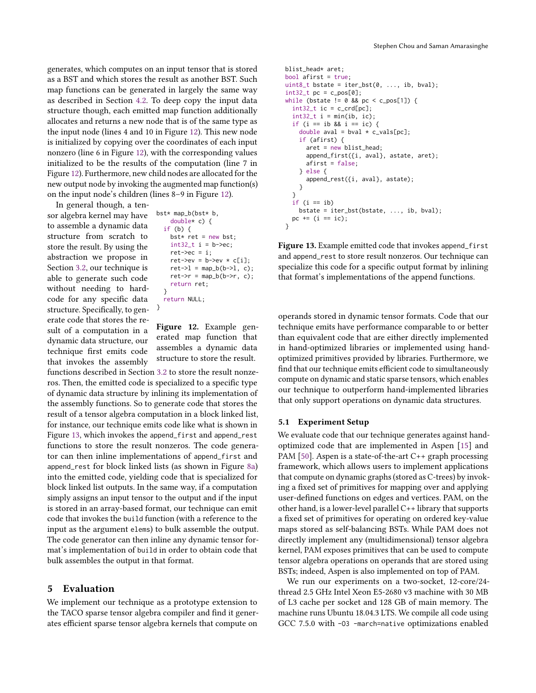generates, which computes on an input tensor that is stored as a BST and which stores the result as another BST. Such map functions can be generated in largely the same way as described in Section [4.2.](#page-7-2) To deep copy the input data structure though, each emitted map function additionally allocates and returns a new node that is of the same type as the input node (lines 4 and 10 in Figure [12\)](#page-9-1). This new node is initialized by copying over the coordinates of each input nonzero (line 6 in Figure [12\)](#page-9-1), with the corresponding values initialized to be the results of the computation (line 7 in Figure [12\)](#page-9-1). Furthermore, new child nodes are allocated for the new output node by invoking the augmented map function(s) on the input node's children (lines 8–9 in Figure [12\)](#page-9-1).

In general though, a tensor algebra kernel may have to assemble a dynamic data structure from scratch to store the result. By using the abstraction we propose in Section [3.2,](#page-5-0) our technique is able to generate such code without needing to hardcode for any specific data structure. Specifically, to generate code that stores the result of a computation in a dynamic data structure, our technique first emits code that invokes the assembly

```
bst* map_b(bst* b,
    double* c) {
  if (b) {
    bst* ret = new bst;
    int32_t i = b->ec;
    ret->ec = i:
    ret->ev = b->ev * c[i];ret->l = map_b(b->l, c);ret \rightarrow r = map_b(b \rightarrow r, c);return ret;
  }
  return NULL;
}
```
Figure 12. Example generated map function that assembles a dynamic data structure to store the result.

functions described in Section [3.2](#page-5-0) to store the result nonzeros. Then, the emitted code is specialized to a specific type of dynamic data structure by inlining its implementation of the assembly functions. So to generate code that stores the result of a tensor algebra computation in a block linked list, for instance, our technique emits code like what is shown in Figure [13,](#page-9-0) which invokes the append\_first and append\_rest functions to store the result nonzeros. The code generator can then inline implementations of append\_first and append\_rest for block linked lists (as shown in Figure [8a\)](#page-6-1) into the emitted code, yielding code that is specialized for block linked list outputs. In the same way, if a computation simply assigns an input tensor to the output and if the input is stored in an array-based format, our technique can emit code that invokes the build function (with a reference to the input as the argument elems) to bulk assemble the output. The code generator can then inline any dynamic tensor format's implementation of build in order to obtain code that bulk assembles the output in that format.

# 5 Evaluation

We implement our technique as a prototype extension to the TACO sparse tensor algebra compiler and find it generates efficient sparse tensor algebra kernels that compute on

```
blist_head* aret;
bool afirst = true;
uint8_t bstate = iter_bst(0, \ldots, ib, bval);int32_t pc = c_pos[0];
while (bstate != 0 && pc < c_pos[1]) {
  int32_t ic = c_crd[pc];
  int32_t i = min(ib, ic);if (i == ib && i == ic) {
    double aval = bval * c_vals[pc];
    if (afirst) {
      aret = new blist_head;
      append_first({i, aval}, astate, aret);
      afirst = false;
    } else {
      append_rest({i, aval}, astate);
    }
  }
  if (i == ib)bstate = iter_bst(bstate, ..., ib, bval);
 pc += (i == ic);
}
```
Figure 13. Example emitted code that invokes append\_first and append\_rest to store result nonzeros. Our technique can specialize this code for a specific output format by inlining that format's implementations of the append functions.

operands stored in dynamic tensor formats. Code that our technique emits have performance comparable to or better than equivalent code that are either directly implemented in hand-optimized libraries or implemented using handoptimized primitives provided by libraries. Furthermore, we find that our technique emits efficient code to simultaneously compute on dynamic and static sparse tensors, which enables our technique to outperform hand-implemented libraries that only support operations on dynamic data structures.

#### 5.1 Experiment Setup

We evaluate code that our technique generates against handoptimized code that are implemented in Aspen [\[15\]](#page-13-2) and PAM [\[50\]](#page-14-6). Aspen is a state-of-the-art C++ graph processing framework, which allows users to implement applications that compute on dynamic graphs (stored as C-trees) by invoking a fixed set of primitives for mapping over and applying user-defined functions on edges and vertices. PAM, on the other hand, is a lower-level parallel C++ library that supports a fixed set of primitives for operating on ordered key-value maps stored as self-balancing BSTs. While PAM does not directly implement any (multidimensional) tensor algebra kernel, PAM exposes primitives that can be used to compute tensor algebra operations on operands that are stored using BSTs; indeed, Aspen is also implemented on top of PAM.

We run our experiments on a two-socket, 12-core/24 thread 2.5 GHz Intel Xeon E5-2680 v3 machine with 30 MB of L3 cache per socket and 128 GB of main memory. The machine runs Ubuntu 18.04.3 LTS. We compile all code using GCC 7.5.0 with -O3 -march=native optimizations enabled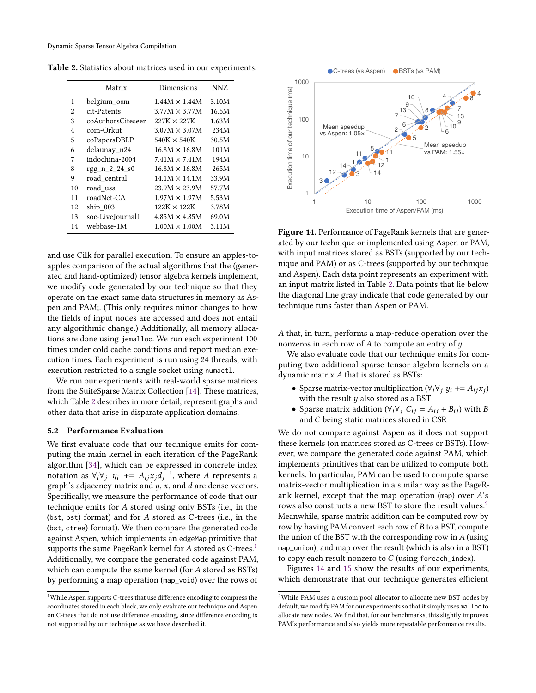<span id="page-10-0"></span>Table 2. Statistics about matrices used in our experiments.

|    | Matrix            | Dimensions           | NNZ   |
|----|-------------------|----------------------|-------|
| 1  | belgium_osm       | $1.44M \times 1.44M$ | 3.10M |
| 2  | cit-Patents       | $3.77M \times 3.77M$ | 16.5M |
| 3  | coAuthorsCiteseer | $227K \times 227K$   | 1.63M |
| 4  | com-Orkut         | $3.07M \times 3.07M$ | 234M  |
| 5  | coPapersDBLP      | $540K \times 540K$   | 30.5M |
| 6  | delaunay n24      | $16.8M \times 16.8M$ | 101M  |
| 7  | indochina-2004    | $7.41M \times 7.41M$ | 194M  |
| 8  | $rgg_n_2_2_4_80$  | $16.8M \times 16.8M$ | 265M  |
| 9  | road central      | $14.1M \times 14.1M$ | 33.9M |
| 10 | road usa          | $23.9M \times 23.9M$ | 57.7M |
| 11 | roadNet-CA        | $1.97M \times 1.97M$ | 5.53M |
| 12 | $ship$ 003        | $122K \times 122K$   | 3.78M |
| 13 | soc-LiveJournal1  | $4.85M \times 4.85M$ | 69.0M |
| 14 | webbase-1M        | $1.00M \times 1.00M$ | 3.11M |

and use Cilk for parallel execution. To ensure an apples-toapples comparison of the actual algorithms that the (generated and hand-optimized) tensor algebra kernels implement, we modify code generated by our technique so that they operate on the exact same data structures in memory as Aspen and PAM;. (This only requires minor changes to how the fields of input nodes are accessed and does not entail any algorithmic change.) Additionally, all memory allocations are done using jemalloc. We run each experiment 100 times under cold cache conditions and report median execution times. Each experiment is run using 24 threads, with execution restricted to a single socket using numactl.

We run our experiments with real-world sparse matrices from the SuiteSparse Matrix Collection [\[14\]](#page-13-18). These matrices, which Table [2](#page-10-0) describes in more detail, represent graphs and other data that arise in disparate application domains.

## 5.2 Performance Evaluation

We first evaluate code that our technique emits for computing the main kernel in each iteration of the PageRank algorithm [\[34\]](#page-13-19), which can be expressed in concrete index notation as  $\forall_i \forall_j$   $y_i$  +=  $A_{ij}x_jd_j^{-1}$ , where A represents a graph's adjacency matrix and  $y$ ,  $x$ , and  $d$  are dense vectors. Specifically, we measure the performance of code that our technique emits for  $A$  stored using only BSTs (i.e., in the (bst, bst) format) and for  $A$  stored as C-trees (i.e., in the (bst, ctree) format). We then compare the generated code against Aspen, which implements an edgeMap primitive that supports the same PageRank kernel for  $A$  stored as C-trees.<sup>[1](#page-10-1)</sup> Additionally, we compare the generated code against PAM, which can compute the same kernel (for  $A$  stored as BSTs) by performing a map operation (map\_void) over the rows of

<span id="page-10-3"></span>

Figure 14. Performance of PageRank kernels that are generated by our technique or implemented using Aspen or PAM, with input matrices stored as BSTs (supported by our technique and PAM) or as C-trees (supported by our technique and Aspen). Each data point represents an experiment with an input matrix listed in Table [2.](#page-10-0) Data points that lie below the diagonal line gray indicate that code generated by our technique runs faster than Aspen or PAM.

A that, in turn, performs a map-reduce operation over the nonzeros in each row of  $A$  to compute an entry of  $y$ .

We also evaluate code that our technique emits for computing two additional sparse tensor algebra kernels on a dynamic matrix  $A$  that is stored as BSTs:

- Sparse matrix-vector multiplication ( $\forall_i \forall j$   $y_i \rightarrow A_{ij} x_j$ ) with the result  $y$  also stored as a BST
- Sparse matrix addition ( $\forall_i \forall_j C_{ij} = A_{ij} + B_{ij}$ ) with B and  $C$  being static matrices stored in CSR

We do not compare against Aspen as it does not support these kernels (on matrices stored as C-trees or BSTs). However, we compare the generated code against PAM, which implements primitives that can be utilized to compute both kernels. In particular, PAM can be used to compute sparse matrix-vector multiplication in a similar way as the PageRank kernel, except that the map operation (map) over  $A$ 's rows also constructs a new BST to store the result values.<sup>[2](#page-10-2)</sup> Meanwhile, sparse matrix addition can be computed row by row by having PAM convert each row of  $B$  to a BST, compute the union of the BST with the corresponding row in  $A$  (using map\_union), and map over the result (which is also in a BST) to copy each result nonzero to  $C$  (using foreach\_index).

Figures [14](#page-10-3) and [15](#page-11-0) show the results of our experiments, which demonstrate that our technique generates efficient

<span id="page-10-1"></span><sup>1</sup>While Aspen supports C-trees that use difference encoding to compress the coordinates stored in each block, we only evaluate our technique and Aspen on C-trees that do not use difference encoding, since difference encoding is not supported by our technique as we have described it.

<span id="page-10-2"></span> $^{2}\rm{White}$  PAM uses a custom pool allocator to allocate new BST nodes by default, we modify PAM for our experiments so that it simply uses malloc to allocate new nodes. We find that, for our benchmarks, this slightly improves PAM's performance and also yields more repeatable performance results.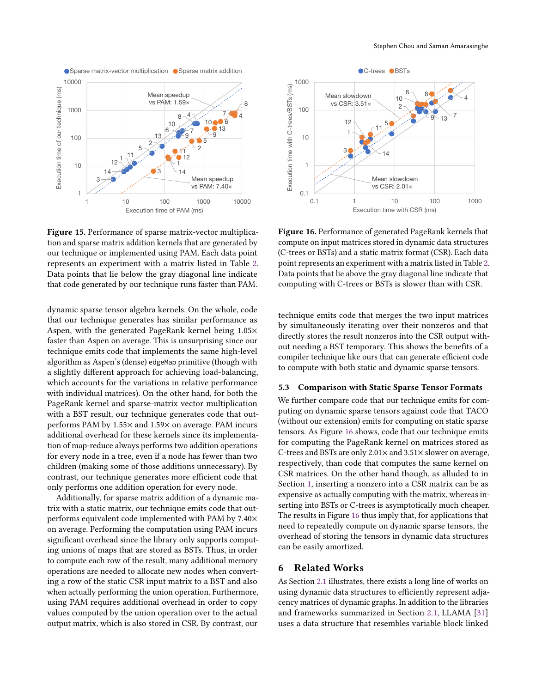<span id="page-11-0"></span>

Figure 15. Performance of sparse matrix-vector multiplication and sparse matrix addition kernels that are generated by our technique or implemented using PAM. Each data point represents an experiment with a matrix listed in Table [2.](#page-10-0) Data points that lie below the gray diagonal line indicate that code generated by our technique runs faster than PAM.

dynamic sparse tensor algebra kernels. On the whole, code that our technique generates has similar performance as Aspen, with the generated PageRank kernel being 1.05× faster than Aspen on average. This is unsurprising since our technique emits code that implements the same high-level algorithm as Aspen's (dense) edgeMap primitive (though with a slightly different approach for achieving load-balancing, which accounts for the variations in relative performance with individual matrices). On the other hand, for both the PageRank kernel and sparse-matrix vector multiplication with a BST result, our technique generates code that outperforms PAM by 1.55× and 1.59× on average. PAM incurs additional overhead for these kernels since its implementation of map-reduce always performs two addition operations for every node in a tree, even if a node has fewer than two children (making some of those additions unnecessary). By contrast, our technique generates more efficient code that only performs one addition operation for every node.

Additionally, for sparse matrix addition of a dynamic matrix with a static matrix, our technique emits code that outperforms equivalent code implemented with PAM by 7.40× on average. Performing the computation using PAM incurs significant overhead since the library only supports computing unions of maps that are stored as BSTs. Thus, in order to compute each row of the result, many additional memory operations are needed to allocate new nodes when converting a row of the static CSR input matrix to a BST and also when actually performing the union operation. Furthermore, using PAM requires additional overhead in order to copy values computed by the union operation over to the actual output matrix, which is also stored in CSR. By contrast, our

<span id="page-11-1"></span>

Figure 16. Performance of generated PageRank kernels that compute on input matrices stored in dynamic data structures (C-trees or BSTs) and a static matrix format (CSR). Each data point represents an experiment with a matrix listed in Table [2.](#page-10-0) Data points that lie above the gray diagonal line indicate that computing with C-trees or BSTs is slower than with CSR.

technique emits code that merges the two input matrices by simultaneously iterating over their nonzeros and that directly stores the result nonzeros into the CSR output without needing a BST temporary. This shows the benefits of a compiler technique like ours that can generate efficient code to compute with both static and dynamic sparse tensors.

## 5.3 Comparison with Static Sparse Tensor Formats

We further compare code that our technique emits for computing on dynamic sparse tensors against code that TACO (without our extension) emits for computing on static sparse tensors. As Figure [16](#page-11-1) shows, code that our technique emits for computing the PageRank kernel on matrices stored as C-trees and BSTs are only 2.01× and 3.51× slower on average, respectively, than code that computes the same kernel on CSR matrices. On the other hand though, as alluded to in Section [1,](#page-0-1) inserting a nonzero into a CSR matrix can be as expensive as actually computing with the matrix, whereas inserting into BSTs or C-trees is asymptotically much cheaper. The results in Figure [16](#page-11-1) thus imply that, for applications that need to repeatedly compute on dynamic sparse tensors, the overhead of storing the tensors in dynamic data structures can be easily amortized.

## 6 Related Works

As Section [2.1](#page-2-1) illustrates, there exists a long line of works on using dynamic data structures to efficiently represent adjacency matrices of dynamic graphs. In addition to the libraries and frameworks summarized in Section [2.1,](#page-2-1) LLAMA [\[31\]](#page-13-20) uses a data structure that resembles variable block linked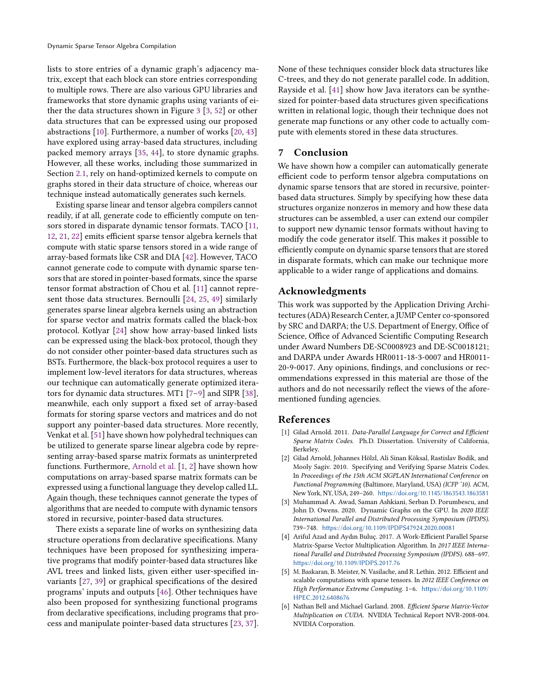lists to store entries of a dynamic graph's adjacency matrix, except that each block can store entries corresponding to multiple rows. There are also various GPU libraries and frameworks that store dynamic graphs using variants of either the data structures shown in Figure [3](#page-3-1) [\[3,](#page-12-3) [52\]](#page-14-7) or other data structures that can be expressed using our proposed abstractions [\[10\]](#page-13-21). Furthermore, a number of works [\[20,](#page-13-22) [43\]](#page-14-8) have explored using array-based data structures, including packed memory arrays [\[35,](#page-13-7) [44\]](#page-14-9), to store dynamic graphs. However, all these works, including those summarized in Section [2.1,](#page-2-1) rely on hand-optimized kernels to compute on graphs stored in their data structure of choice, whereas our technique instead automatically generates such kernels.

Existing sparse linear and tensor algebra compilers cannot readily, if at all, generate code to efficiently compute on tensors stored in disparate dynamic tensor formats. TACO [\[11,](#page-13-10) [12,](#page-13-11) [21,](#page-13-12) [22\]](#page-13-13) emits efficient sparse tensor algebra kernels that compute with static sparse tensors stored in a wide range of array-based formats like CSR and DIA [\[42\]](#page-14-10). However, TACO cannot generate code to compute with dynamic sparse tensors that are stored in pointer-based formats, since the sparse tensor format abstraction of Chou et al. [\[11\]](#page-13-10) cannot represent those data structures. Bernoulli [\[24,](#page-13-23) [25,](#page-13-24) [49\]](#page-14-11) similarly generates sparse linear algebra kernels using an abstraction for sparse vector and matrix formats called the black-box protocol. Kotlyar [\[24\]](#page-13-23) show how array-based linked lists can be expressed using the black-box protocol, though they do not consider other pointer-based data structures such as BSTs. Furthermore, the black-box protocol requires a user to implement low-level iterators for data structures, whereas our technique can automatically generate optimized iterators for dynamic data structures. MT1 [\[7](#page-13-25)[–9\]](#page-13-26) and SIPR [\[38\]](#page-14-12), meanwhile, each only support a fixed set of array-based formats for storing sparse vectors and matrices and do not support any pointer-based data structures. More recently, Venkat et al. [\[51\]](#page-14-13) have shown how polyhedral techniques can be utilized to generate sparse linear algebra code by representing array-based sparse matrix formats as uninterpreted functions. Furthermore, [Arnold et al.](#page-12-4) [\[1,](#page-12-5) [2\]](#page-12-4) have shown how computations on array-based sparse matrix formats can be expressed using a functional language they develop called LL. Again though, these techniques cannot generate the types of algorithms that are needed to compute with dynamic tensors stored in recursive, pointer-based data structures.

There exists a separate line of works on synthesizing data structure operations from declarative specifications. Many techniques have been proposed for synthesizing imperative programs that modify pointer-based data structures like AVL trees and linked lists, given either user-specified invariants [\[27,](#page-13-27) [39\]](#page-14-14) or graphical specifications of the desired programs' inputs and outputs [\[46\]](#page-14-15). Other techniques have also been proposed for synthesizing functional programs from declarative specifications, including programs that process and manipulate pointer-based data structures [\[23,](#page-13-28) [37\]](#page-13-29). None of these techniques consider block data structures like C-trees, and they do not generate parallel code. In addition, Rayside et al. [\[41\]](#page-14-16) show how Java iterators can be synthesized for pointer-based data structures given specifications written in relational logic, though their technique does not generate map functions or any other code to actually compute with elements stored in these data structures.

### 7 Conclusion

We have shown how a compiler can automatically generate efficient code to perform tensor algebra computations on dynamic sparse tensors that are stored in recursive, pointerbased data structures. Simply by specifying how these data structures organize nonzeros in memory and how these data structures can be assembled, a user can extend our compiler to support new dynamic tensor formats without having to modify the code generator itself. This makes it possible to efficiently compute on dynamic sparse tensors that are stored in disparate formats, which can make our technique more applicable to a wider range of applications and domains.

## Acknowledgments

This work was supported by the Application Driving Architectures (ADA) Research Center, a JUMP Center co-sponsored by SRC and DARPA; the U.S. Department of Energy, Office of Science, Office of Advanced Scientific Computing Research under Award Numbers DE-SC0008923 and DE-SC0018121; and DARPA under Awards HR0011-18-3-0007 and HR0011- 20-9-0017. Any opinions, findings, and conclusions or recommendations expressed in this material are those of the authors and do not necessarily reflect the views of the aforementioned funding agencies.

### References

- <span id="page-12-5"></span>[1] Gilad Arnold. 2011. Data-Parallel Language for Correct and Efficient Sparse Matrix Codes. Ph.D. Dissertation. University of California, Berkeley.
- <span id="page-12-4"></span>[2] Gilad Arnold, Johannes Hölzl, Ali Sinan Köksal, Rastislav Bodík, and Mooly Sagiv. 2010. Specifying and Verifying Sparse Matrix Codes. In Proceedings of the 15th ACM SIGPLAN International Conference on Functional Programming (Baltimore, Maryland, USA) (ICFP '10). ACM, New York, NY, USA, 249–260. <https://doi.org/10.1145/1863543.1863581>
- <span id="page-12-3"></span>[3] Muhammad A. Awad, Saman Ashkiani, Serban D. Porumbescu, and John D. Owens. 2020. Dynamic Graphs on the GPU. In 2020 IEEE International Parallel and Distributed Processing Symposium (IPDPS). 739–748. <https://doi.org/10.1109/IPDPS47924.2020.00081>
- <span id="page-12-1"></span>[4] Ariful Azad and Aydın Buluç. 2017. A Work-Efficient Parallel Sparse Matrix-Sparse Vector Multiplication Algorithm. In 2017 IEEE International Parallel and Distributed Processing Symposium (IPDPS). 688–697. <https://doi.org/10.1109/IPDPS.2017.76>
- <span id="page-12-0"></span>[5] M. Baskaran, B. Meister, N. Vasilache, and R. Lethin. 2012. Efficient and scalable computations with sparse tensors. In 2012 IEEE Conference on High Performance Extreme Computing. 1–6. [https://doi.org/10.1109/](https://doi.org/10.1109/HPEC.2012.6408676) [HPEC.2012.6408676](https://doi.org/10.1109/HPEC.2012.6408676)
- <span id="page-12-2"></span>[6] Nathan Bell and Michael Garland. 2008. Efficient Sparse Matrix-Vector Multiplication on CUDA. NVIDIA Technical Report NVR-2008-004. NVIDIA Corporation.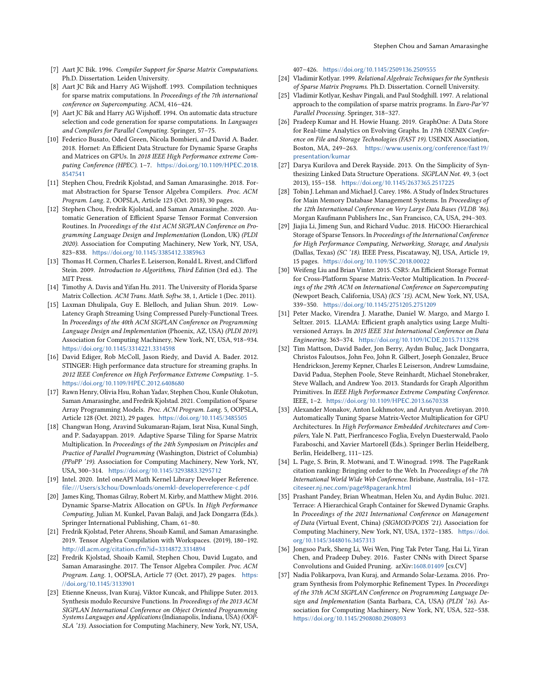- <span id="page-13-25"></span>[8] Aart JC Bik and Harry AG Wijshoff. 1993. Compilation techniques for sparse matrix computations. In Proceedings of the 7th international conference on Supercomputing. ACM, 416–424.
- <span id="page-13-26"></span>[9] Aart JC Bik and Harry AG Wijshoff. 1994. On automatic data structure selection and code generation for sparse computations. In Languages and Compilers for Parallel Computing. Springer, 57–75.
- <span id="page-13-21"></span>[10] Federico Busato, Oded Green, Nicola Bombieri, and David A. Bader. 2018. Hornet: An Efficient Data Structure for Dynamic Sparse Graphs and Matrices on GPUs. In 2018 IEEE High Performance extreme Computing Conference (HPEC). 1–7. [https://doi.org/10.1109/HPEC.2018.](https://doi.org/10.1109/HPEC.2018.8547541) [8547541](https://doi.org/10.1109/HPEC.2018.8547541)
- <span id="page-13-10"></span>[11] Stephen Chou, Fredrik Kjolstad, and Saman Amarasinghe. 2018. Format Abstraction for Sparse Tensor Algebra Compilers. Proc. ACM Program. Lang. 2, OOPSLA, Article 123 (Oct. 2018), 30 pages.
- <span id="page-13-11"></span>[12] Stephen Chou, Fredrik Kjolstad, and Saman Amarasinghe. 2020. Automatic Generation of Efficient Sparse Tensor Format Conversion Routines. In Proceedings of the 41st ACM SIGPLAN Conference on Programming Language Design and Implementation (London, UK) (PLDI 2020). Association for Computing Machinery, New York, NY, USA, 823–838. <https://doi.org/10.1145/3385412.3385963>
- <span id="page-13-14"></span>[13] Thomas H. Cormen, Charles E. Leiserson, Ronald L. Rivest, and Clifford Stein. 2009. Introduction to Algorithms, Third Edition (3rd ed.). The MIT Press.
- <span id="page-13-18"></span>[14] Timothy A. Davis and Yifan Hu. 2011. The University of Florida Sparse Matrix Collection. ACM Trans. Math. Softw. 38, 1, Article 1 (Dec. 2011).
- <span id="page-13-2"></span>[15] Laxman Dhulipala, Guy E. Blelloch, and Julian Shun. 2019. Low-Latency Graph Streaming Using Compressed Purely-Functional Trees. In Proceedings of the 40th ACM SIGPLAN Conference on Programming Language Design and Implementation (Phoenix, AZ, USA) (PLDI 2019). Association for Computing Machinery, New York, NY, USA, 918–934. <https://doi.org/10.1145/3314221.3314598>
- <span id="page-13-3"></span>[16] David Ediger, Rob McColl, Jason Riedy, and David A. Bader. 2012. STINGER: High performance data structure for streaming graphs. In 2012 IEEE Conference on High Performance Extreme Computing. 1–5. <https://doi.org/10.1109/HPEC.2012.6408680>
- <span id="page-13-17"></span>[17] Rawn Henry, Olivia Hsu, Rohan Yadav, Stephen Chou, Kunle Olukotun, Saman Amarasinghe, and Fredrik Kjolstad. 2021. Compilation of Sparse Array Programming Models. Proc. ACM Program. Lang. 5, OOPSLA, Article 128 (Oct. 2021), 29 pages. <https://doi.org/10.1145/3485505>
- <span id="page-13-9"></span>[18] Changwan Hong, Aravind Sukumaran-Rajam, Israt Nisa, Kunal Singh, and P. Sadayappan. 2019. Adaptive Sparse Tiling for Sparse Matrix Multiplication. In Proceedings of the 24th Symposium on Principles and Practice of Parallel Programming (Washington, District of Columbia) (PPoPP '19). Association for Computing Machinery, New York, NY, USA, 300–314. <https://doi.org/10.1145/3293883.3295712>
- <span id="page-13-8"></span>[19] Intel. 2020. Intel oneAPI Math Kernel Library Developer Reference. <file:///Users/s3chou/Downloads/onemkl-developerreference-c.pdf>
- <span id="page-13-22"></span>[20] James King, Thomas Gilray, Robert M. Kirby, and Matthew Might. 2016. Dynamic Sparse-Matrix Allocation on GPUs. In High Performance Computing, Julian M. Kunkel, Pavan Balaji, and Jack Dongarra (Eds.). Springer International Publishing, Cham, 61–80.
- <span id="page-13-12"></span>[21] Fredrik Kjolstad, Peter Ahrens, Shoaib Kamil, and Saman Amarasinghe. 2019. Tensor Algebra Compilation with Workspaces. (2019), 180–192. <http://dl.acm.org/citation.cfm?id=3314872.3314894>
- <span id="page-13-13"></span>[22] Fredrik Kjolstad, Shoaib Kamil, Stephen Chou, David Lugato, and Saman Amarasinghe. 2017. The Tensor Algebra Compiler. Proc. ACM Program. Lang. 1, OOPSLA, Article 77 (Oct. 2017), 29 pages. [https:](https://doi.org/10.1145/3133901) [//doi.org/10.1145/3133901](https://doi.org/10.1145/3133901)
- <span id="page-13-28"></span>[23] Etienne Kneuss, Ivan Kuraj, Viktor Kuncak, and Philippe Suter. 2013. Synthesis modulo Recursive Functions. In Proceedings of the 2013 ACM SIGPLAN International Conference on Object Oriented Programming Systems Languages and Applications (Indianapolis, Indiana, USA) (OOP-SLA '13). Association for Computing Machinery, New York, NY, USA,

#### 407–426. <https://doi.org/10.1145/2509136.2509555>

- <span id="page-13-23"></span>[24] Vladimir Kotlyar. 1999. Relational Algebraic Techniques for the Synthesis of Sparse Matrix Programs. Ph.D. Dissertation. Cornell University.
- <span id="page-13-24"></span>[25] Vladimir Kotlyar, Keshav Pingali, and Paul Stodghill. 1997. A relational approach to the compilation of sparse matrix programs. In Euro-Par'97 Parallel Processing. Springer, 318–327.
- <span id="page-13-15"></span>[26] Pradeep Kumar and H. Howie Huang. 2019. GraphOne: A Data Store for Real-time Analytics on Evolving Graphs. In 17th USENIX Conference on File and Storage Technologies (FAST 19). USENIX Association, Boston, MA, 249–263. [https://www.usenix.org/conference/fast19/](https://www.usenix.org/conference/fast19/presentation/kumar) [presentation/kumar](https://www.usenix.org/conference/fast19/presentation/kumar)
- <span id="page-13-27"></span>[27] Darya Kurilova and Derek Rayside. 2013. On the Simplicity of Synthesizing Linked Data Structure Operations. SIGPLAN Not. 49, 3 (oct 2013), 155–158. <https://doi.org/10.1145/2637365.2517225>
- <span id="page-13-16"></span>[28] Tobin J. Lehman and Michael J. Carey. 1986. A Study of Index Structures for Main Memory Database Management Systems. In Proceedings of the 12th International Conference on Very Large Data Bases (VLDB '86). Morgan Kaufmann Publishers Inc., San Francisco, CA, USA, 294–303.
- <span id="page-13-4"></span>[29] Jiajia Li, Jimeng Sun, and Richard Vuduc. 2018. HiCOO: Hierarchical Storage of Sparse Tensors. In Proceedings of the International Conference for High Performance Computing, Networking, Storage, and Analysis (Dallas, Texas) (SC '18). IEEE Press, Piscataway, NJ, USA, Article 19, 15 pages. <https://doi.org/10.1109/SC.2018.00022>
- <span id="page-13-5"></span>[30] Weifeng Liu and Brian Vinter. 2015. CSR5: An Efficient Storage Format for Cross-Platform Sparse Matrix-Vector Multiplication. In Proceedings of the 29th ACM on International Conference on Supercomputing (Newport Beach, California, USA) (ICS '15). ACM, New York, NY, USA, 339–350. <https://doi.org/10.1145/2751205.2751209>
- <span id="page-13-20"></span>[31] Peter Macko, Virendra J. Marathe, Daniel W. Margo, and Margo I. Seltzer. 2015. LLAMA: Efficient graph analytics using Large Multiversioned Arrays. In 2015 IEEE 31st International Conference on Data Engineering. 363–374. <https://doi.org/10.1109/ICDE.2015.7113298>
- <span id="page-13-0"></span>[32] Tim Mattson, David Bader, Jon Berry, Aydın Buluç, Jack Dongarra, Christos Faloutsos, John Feo, John R. Gilbert, Joseph Gonzalez, Bruce Hendrickson, Jeremy Kepner, Charles E Leiserson, Andrew Lumsdaine, David Padua, Stephen Poole, Steve Reinhardt, Michael Stonebraker, Steve Wallach, and Andrew Yoo. 2013. Standards for Graph Algorithm Primitives. In IEEE High Performance Extreme Computing Conference. IEEE, 1–2. <https://doi.org/10.1109/HPEC.2013.6670338>
- <span id="page-13-6"></span>[33] Alexander Monakov, Anton Lokhmotov, and Arutyun Avetisyan. 2010. Automatically Tuning Sparse Matrix-Vector Multiplication for GPU Architectures. In High Performance Embedded Architectures and Compilers, Yale N. Patt, Pierfrancesco Foglia, Evelyn Duesterwald, Paolo Faraboschi, and Xavier Martorell (Eds.). Springer Berlin Heidelberg, Berlin, Heidelberg, 111–125.
- <span id="page-13-19"></span>[34] L. Page, S. Brin, R. Motwani, and T. Winograd. 1998. The PageRank citation ranking: Bringing order to the Web. In Proceedings of the 7th International World Wide Web Conference. Brisbane, Australia, 161–172. <citeseer.nj.nec.com/page98pagerank.html>
- <span id="page-13-7"></span>[35] Prashant Pandey, Brian Wheatman, Helen Xu, and Aydin Buluc. 2021. Terrace: A Hierarchical Graph Container for Skewed Dynamic Graphs. In Proceedings of the 2021 International Conference on Management of Data (Virtual Event, China) (SIGMOD/PODS '21). Association for Computing Machinery, New York, NY, USA, 1372–1385. [https://doi.](https://doi.org/10.1145/3448016.3457313) [org/10.1145/3448016.3457313](https://doi.org/10.1145/3448016.3457313)
- <span id="page-13-1"></span>[36] Jongsoo Park, Sheng Li, Wei Wen, Ping Tak Peter Tang, Hai Li, Yiran Chen, and Pradeep Dubey. 2016. Faster CNNs with Direct Sparse Convolutions and Guided Pruning. arXiv[:1608.01409](https://arxiv.org/abs/1608.01409) [cs.CV]
- <span id="page-13-29"></span>[37] Nadia Polikarpova, Ivan Kuraj, and Armando Solar-Lezama. 2016. Program Synthesis from Polymorphic Refinement Types. In Proceedings of the 37th ACM SIGPLAN Conference on Programming Language Design and Implementation (Santa Barbara, CA, USA) (PLDI '16). Association for Computing Machinery, New York, NY, USA, 522–538. <https://doi.org/10.1145/2908080.2908093>